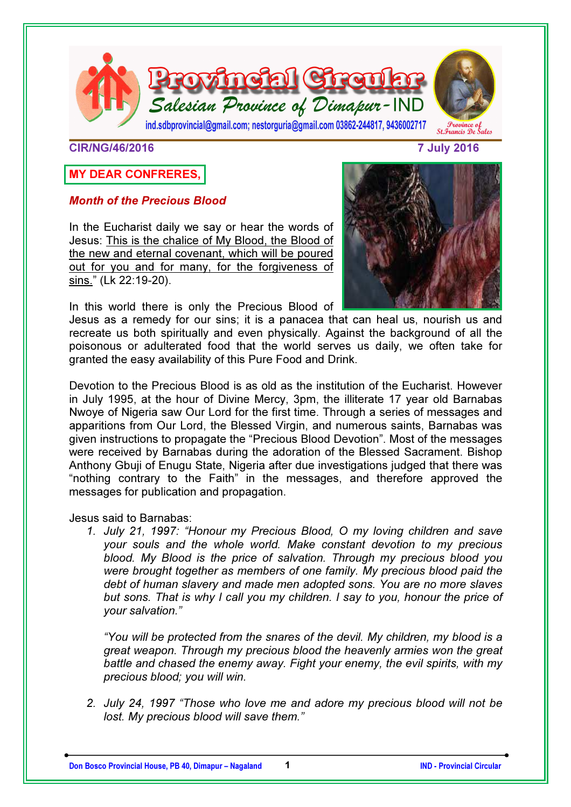

#### CIR/NG/46/2016 7 July 2016

# MY DEAR CONFRERES,

### Month of the Precious Blood

In the Eucharist daily we say or hear the words of Jesus: This is the chalice of My Blood, the Blood of the new and eternal covenant, which will be poured out for you and for many, for the forgiveness of sins." (Lk 22:19-20).

In this world there is only the Precious Blood of



Jesus as a remedy for our sins; it is a panacea that can heal us, nourish us and recreate us both spiritually and even physically. Against the background of all the poisonous or adulterated food that the world serves us daily, we often take for granted the easy availability of this Pure Food and Drink.

Devotion to the Precious Blood is as old as the institution of the Eucharist. However in July 1995, at the hour of Divine Mercy, 3pm, the illiterate 17 year old Barnabas Nwoye of Nigeria saw Our Lord for the first time. Through a series of messages and apparitions from Our Lord, the Blessed Virgin, and numerous saints, Barnabas was given instructions to propagate the "Precious Blood Devotion". Most of the messages were received by Barnabas during the adoration of the Blessed Sacrament. Bishop Anthony Gbuji of Enugu State, Nigeria after due investigations judged that there was "nothing contrary to the Faith" in the messages, and therefore approved the messages for publication and propagation.

Jesus said to Barnabas:

*1. July 21, 1997: "Honour my Precious Blood, O my loving children and save your souls and the whole world. Make constant devotion to my precious blood. My Blood is the price of salvation. Through my precious blood you were brought together as members of one family. My precious blood paid the debt of human slavery and made men adopted sons. You are no more slaves but sons. That is why I call you my children. I say to you, honour the price of your salvation."* 

*"You will be protected from the snares of the devil. My children, my blood is a great weapon. Through my precious blood the heavenly armies won the great battle and chased the enemy away. Fight your enemy, the evil spirits, with my precious blood; you will win.* 

*2. July 24, 1997 "Those who love me and adore my precious blood will not be lost. My precious blood will save them."*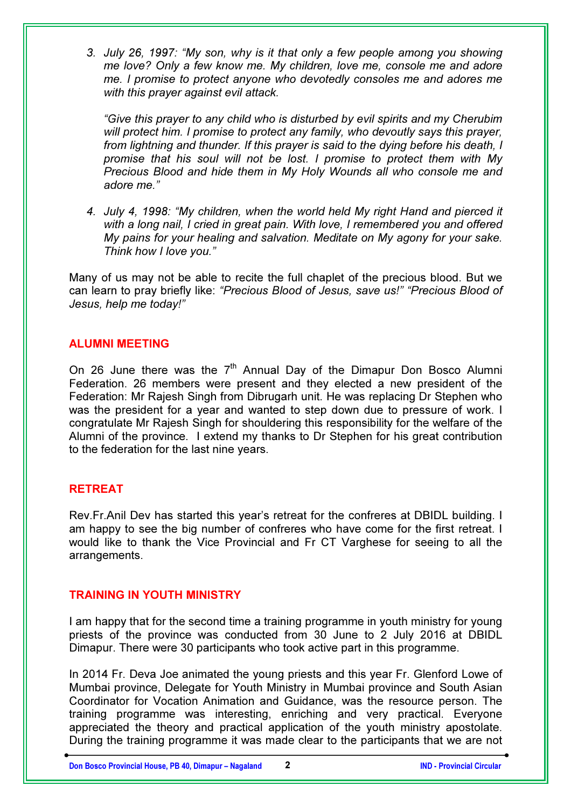*3. July 26, 1997: "My son, why is it that only a few people among you showing me love? Only a few know me. My children, love me, console me and adore me. I promise to protect anyone who devotedly consoles me and adores me with this prayer against evil attack.* 

*"Give this prayer to any child who is disturbed by evil spirits and my Cherubim will protect him. I promise to protect any family, who devoutly says this prayer, from lightning and thunder. If this prayer is said to the dying before his death, I promise that his soul will not be lost. I promise to protect them with My Precious Blood and hide them in My Holy Wounds all who console me and adore me."* 

*4. July 4, 1998: "My children, when the world held My right Hand and pierced it with a long nail, I cried in great pain. With love, I remembered you and offered My pains for your healing and salvation. Meditate on My agony for your sake. Think how I love you."* 

Many of us may not be able to recite the full chaplet of the precious blood. But we can learn to pray briefly like: *"Precious Blood of Jesus, save us!" "Precious Blood of Jesus, help me today!"*

### ALUMNI MEETING

On 26 June there was the  $7<sup>th</sup>$  Annual Day of the Dimapur Don Bosco Alumni Federation. 26 members were present and they elected a new president of the Federation: Mr Rajesh Singh from Dibrugarh unit. He was replacing Dr Stephen who was the president for a year and wanted to step down due to pressure of work. I congratulate Mr Rajesh Singh for shouldering this responsibility for the welfare of the Alumni of the province. I extend my thanks to Dr Stephen for his great contribution to the federation for the last nine years.

### **RETREAT**

Rev.Fr.Anil Dev has started this year's retreat for the confreres at DBIDL building. I am happy to see the big number of confreres who have come for the first retreat. I would like to thank the Vice Provincial and Fr CT Varghese for seeing to all the arrangements.

### TRAINING IN YOUTH MINISTRY

I am happy that for the second time a training programme in youth ministry for young priests of the province was conducted from 30 June to 2 July 2016 at DBIDL Dimapur. There were 30 participants who took active part in this programme.

In 2014 Fr. Deva Joe animated the young priests and this year Fr. Glenford Lowe of Mumbai province, Delegate for Youth Ministry in Mumbai province and South Asian Coordinator for Vocation Animation and Guidance, was the resource person. The training programme was interesting, enriching and very practical. Everyone appreciated the theory and practical application of the youth ministry apostolate. During the training programme it was made clear to the participants that we are not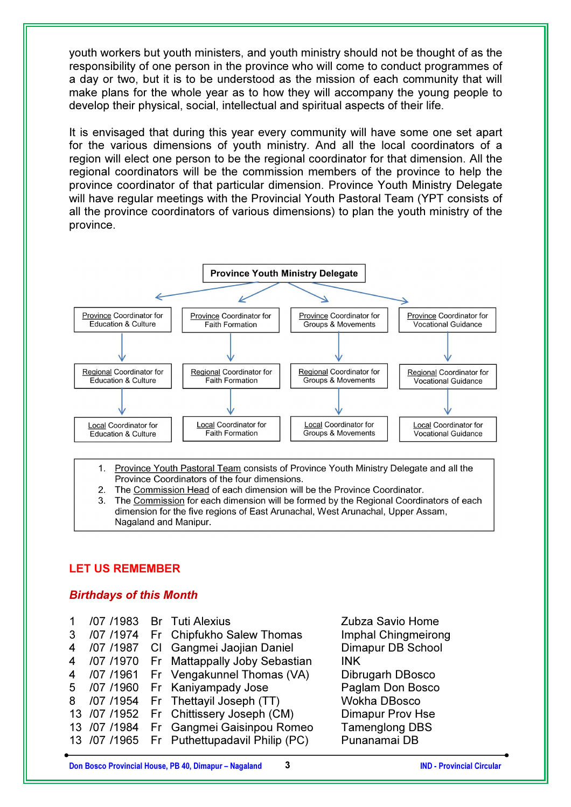youth workers but youth ministers, and youth ministry should not be thought of as the responsibility of one person in the province who will come to conduct programmes of a day or two, but it is to be understood as the mission of each community that will make plans for the whole year as to how they will accompany the young people to develop their physical, social, intellectual and spiritual aspects of their life.

It is envisaged that during this year every community will have some one set apart for the various dimensions of youth ministry. And all the local coordinators of a region will elect one person to be the regional coordinator for that dimension. All the regional coordinators will be the commission members of the province to help the province coordinator of that particular dimension. Province Youth Ministry Delegate will have regular meetings with the Provincial Youth Pastoral Team (YPT consists of all the province coordinators of various dimensions) to plan the youth ministry of the province.



1. Province Youth Pastoral Team consists of Province Youth Ministry Delegate and all the Province Coordinators of the four dimensions.

- The Commission Head of each dimension will be the Province Coordinator.  $2.$
- The Commission for each dimension will be formed by the Regional Coordinators of each dimension for the five regions of East Arunachal, West Arunachal, Upper Assam, Nagaland and Manipur.

### LET US REMEMBER

### Birthdays of this Month

|   |           | /07 /1983 Br Tuti Alexius                   | Zubza Savio Home           |
|---|-----------|---------------------------------------------|----------------------------|
| 3 | /07 /1974 | Fr Chipfukho Salew Thomas                   | <b>Imphal Chingmeirong</b> |
| 4 |           | /07 /1987 Cl Gangmei Jaojian Daniel         | Dimapur DB School          |
| 4 |           | /07 /1970 Fr Mattappally Joby Sebastian     | <b>INK</b>                 |
| 4 |           | /07 /1961 Fr Vengakunnel Thomas (VA)        | Dibrugarh DBosco           |
|   |           | 5 /07 /1960 Fr Kaniyampady Jose             | Paglam Don Bosco           |
|   |           | 8 /07 /1954 Fr Thettayil Joseph (TT)        | <b>Wokha DBosco</b>        |
|   |           | 13 /07 /1952 Fr Chittissery Joseph (CM)     | <b>Dimapur Prov Hse</b>    |
|   |           | 13 /07 /1984 Fr Gangmei Gaisinpou Romeo     | <b>Tamenglong DBS</b>      |
|   |           | 13 /07 /1965 Fr Puthettupadavil Philip (PC) | Punanamai DB               |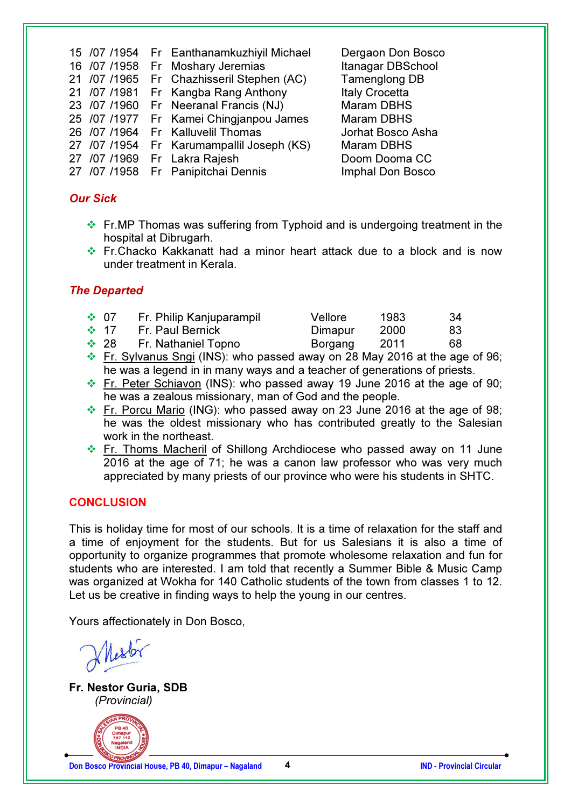| 15 /07 /1954 | Fr Eanthanamkuzhiyil Michael | Dergaon Don Bosco     |
|--------------|------------------------------|-----------------------|
| 16 /07 /1958 | Fr Moshary Jeremias          | Itanagar DBSchool     |
| 21 /07 /1965 | Fr Chazhisseril Stephen (AC) | <b>Tamenglong DB</b>  |
| 21 /07 /1981 | Fr Kangba Rang Anthony       | <b>Italy Crocetta</b> |
| 23 /07 /1960 | Fr Neeranal Francis (NJ)     | <b>Maram DBHS</b>     |
| 25 /07 /1977 | Fr Kamei Chingjanpou James   | <b>Maram DBHS</b>     |
| 26 /07 /1964 | Fr Kalluvelil Thomas         | Jorhat Bosco Asha     |
| 27 /07 /1954 | Fr Karumampallil Joseph (KS) | <b>Maram DBHS</b>     |
| 27 /07 /1969 | Fr Lakra Rajesh              | Doom Dooma CC         |
| 27 /07 /1958 | Fr Panipitchai Dennis        | Imphal Don Bosco      |
|              |                              |                       |

## Our Sick

- Fr.MP Thomas was suffering from Typhoid and is undergoing treatment in the hospital at Dibrugarh.
- Fr.Chacko Kakkanatt had a minor heart attack due to a block and is now under treatment in Kerala.

### The Departed

| $\div 07$  | Fr. Philip Kanjuparampil | Vellore  | 1983  | -34 |
|------------|--------------------------|----------|-------|-----|
| $\cdot$ 17 | Fr. Paul Bernick         | Dimapur  | 2000  | 83. |
| $\div$ 28  | Fr. Nathaniel Topno      | Borgang  | -2011 | 68  |
|            |                          | $\cdots$ |       |     |

- Fr. Sylvanus Sngi (INS): who passed away on 28 May 2016 at the age of 96; he was a legend in in many ways and a teacher of generations of priests.
- Fr. Peter Schiavon (INS): who passed away 19 June 2016 at the age of 90; he was a zealous missionary, man of God and the people.
- Fr. Porcu Mario (ING): who passed away on 23 June 2016 at the age of 98; he was the oldest missionary who has contributed greatly to the Salesian work in the northeast.
- Fr. Thoms Macheril of Shillong Archdiocese who passed away on 11 June 2016 at the age of 71; he was a canon law professor who was very much appreciated by many priests of our province who were his students in SHTC.

## **CONCLUSION**

This is holiday time for most of our schools. It is a time of relaxation for the staff and a time of enjoyment for the students. But for us Salesians it is also a time of opportunity to organize programmes that promote wholesome relaxation and fun for students who are interested. I am told that recently a Summer Bible & Music Camp was organized at Wokha for 140 Catholic students of the town from classes 1 to 12. Let us be creative in finding ways to help the young in our centres.

Yours affectionately in Don Bosco,

Fr. Nestor Guria, SDB *(Provincial)* 



Don Bosco Provincial House, PB 40, Dimapur – Nagaland 4 1999 1999 1999 1999 100 - IND - Provincial Circular